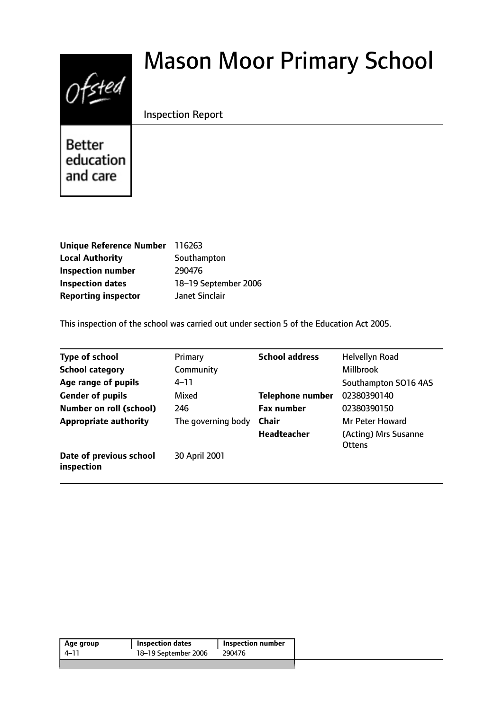# $0$ fsted

# Mason Moor Primary School

# Inspection Report

**Better** education and care

| Unique Reference Number 116263 |                      |
|--------------------------------|----------------------|
| <b>Local Authority</b>         | Southampton          |
| <b>Inspection number</b>       | 290476               |
| <b>Inspection dates</b>        | 18-19 September 2006 |
| <b>Reporting inspector</b>     | Janet Sinclair       |

This inspection of the school was carried out under section 5 of the Education Act 2005.

| <b>Type of school</b>                 | Primary            | <b>School address</b>   | Helvellyn Road                        |
|---------------------------------------|--------------------|-------------------------|---------------------------------------|
| <b>School category</b>                | Community          |                         | <b>Millbrook</b>                      |
| Age range of pupils                   | 4–11               |                         | Southampton SO16 4AS                  |
| <b>Gender of pupils</b>               | Mixed              | <b>Telephone number</b> | 02380390140                           |
| <b>Number on roll (school)</b>        | 246                | <b>Fax number</b>       | 02380390150                           |
| <b>Appropriate authority</b>          | The governing body | Chair                   | Mr Peter Howard                       |
|                                       |                    | <b>Headteacher</b>      | (Acting) Mrs Susanne<br><b>Ottens</b> |
| Date of previous school<br>inspection | 30 April 2001      |                         |                                       |

| 18-19 September 2006<br>290476<br>4–11 | Age group | <b>Inspection dates</b> | Inspection number |  |
|----------------------------------------|-----------|-------------------------|-------------------|--|
|                                        |           |                         |                   |  |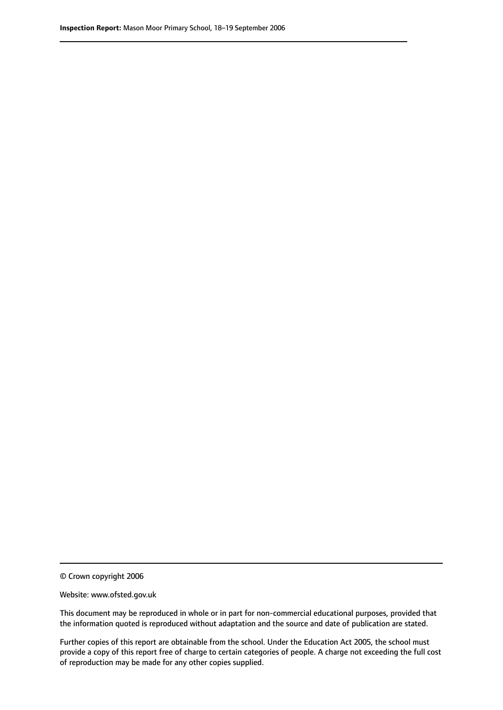© Crown copyright 2006

Website: www.ofsted.gov.uk

This document may be reproduced in whole or in part for non-commercial educational purposes, provided that the information quoted is reproduced without adaptation and the source and date of publication are stated.

Further copies of this report are obtainable from the school. Under the Education Act 2005, the school must provide a copy of this report free of charge to certain categories of people. A charge not exceeding the full cost of reproduction may be made for any other copies supplied.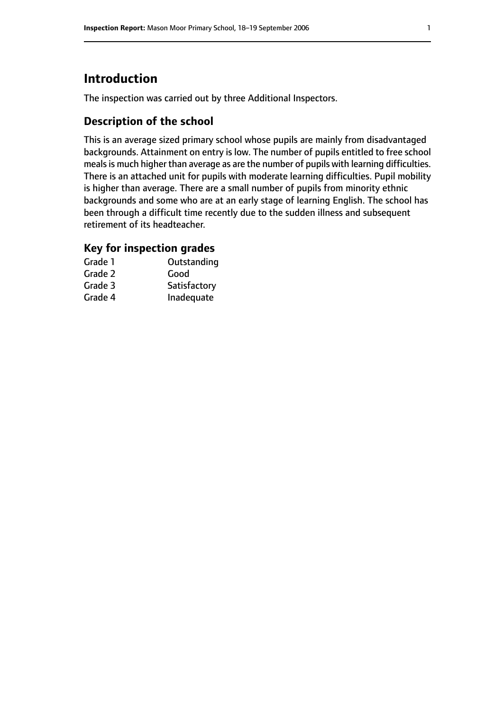# **Introduction**

The inspection was carried out by three Additional Inspectors.

# **Description of the school**

This is an average sized primary school whose pupils are mainly from disadvantaged backgrounds. Attainment on entry is low. The number of pupils entitled to free school meals is much higher than average as are the number of pupils with learning difficulties. There is an attached unit for pupils with moderate learning difficulties. Pupil mobility is higher than average. There are a small number of pupils from minority ethnic backgrounds and some who are at an early stage of learning English. The school has been through a difficult time recently due to the sudden illness and subsequent retirement of its headteacher.

## **Key for inspection grades**

| Grade 1 | Outstanding  |
|---------|--------------|
| Grade 2 | Good         |
| Grade 3 | Satisfactory |
| Grade 4 | Inadequate   |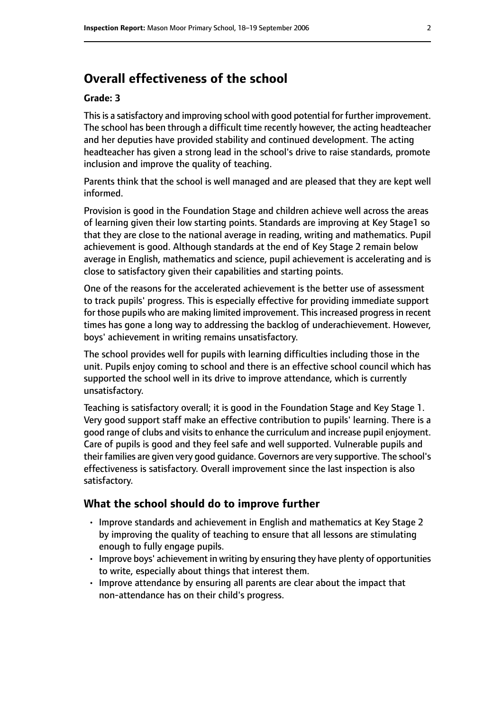# **Overall effectiveness of the school**

#### **Grade: 3**

This is a satisfactory and improving school with good potential for further improvement. The school has been through a difficult time recently however, the acting headteacher and her deputies have provided stability and continued development. The acting headteacher has given a strong lead in the school's drive to raise standards, promote inclusion and improve the quality of teaching.

Parents think that the school is well managed and are pleased that they are kept well informed.

Provision is good in the Foundation Stage and children achieve well across the areas of learning given their low starting points. Standards are improving at Key Stage1 so that they are close to the national average in reading, writing and mathematics. Pupil achievement is good. Although standards at the end of Key Stage 2 remain below average in English, mathematics and science, pupil achievement is accelerating and is close to satisfactory given their capabilities and starting points.

One of the reasons for the accelerated achievement is the better use of assessment to track pupils' progress. This is especially effective for providing immediate support for those pupils who are making limited improvement. This increased progress in recent times has gone a long way to addressing the backlog of underachievement. However, boys' achievement in writing remains unsatisfactory.

The school provides well for pupils with learning difficulties including those in the unit. Pupils enjoy coming to school and there is an effective school council which has supported the school well in its drive to improve attendance, which is currently unsatisfactory.

Teaching is satisfactory overall; it is good in the Foundation Stage and Key Stage 1. Very good support staff make an effective contribution to pupils' learning. There is a good range of clubs and visits to enhance the curriculum and increase pupil enjoyment. Care of pupils is good and they feel safe and well supported. Vulnerable pupils and their families are given very good guidance. Governors are very supportive. The school's effectiveness is satisfactory. Overall improvement since the last inspection is also satisfactory.

#### **What the school should do to improve further**

- Improve standards and achievement in English and mathematics at Key Stage 2 by improving the quality of teaching to ensure that all lessons are stimulating enough to fully engage pupils.
- Improve boys' achievement in writing by ensuring they have plenty of opportunities to write, especially about things that interest them.
- Improve attendance by ensuring all parents are clear about the impact that non-attendance has on their child's progress.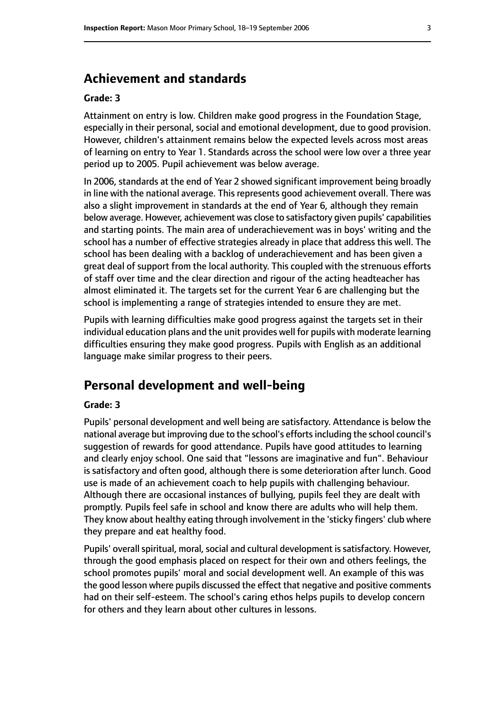# **Achievement and standards**

#### **Grade: 3**

Attainment on entry is low. Children make good progress in the Foundation Stage, especially in their personal, social and emotional development, due to good provision. However, children's attainment remains below the expected levels across most areas of learning on entry to Year 1. Standards across the school were low over a three year period up to 2005. Pupil achievement was below average.

In 2006, standards at the end of Year 2 showed significant improvement being broadly in line with the national average. This represents good achievement overall. There was also a slight improvement in standards at the end of Year 6, although they remain below average. However, achievement was close to satisfactory given pupils' capabilities and starting points. The main area of underachievement was in boys' writing and the school has a number of effective strategies already in place that address this well. The school has been dealing with a backlog of underachievement and has been given a great deal of support from the local authority. This coupled with the strenuous efforts of staff over time and the clear direction and rigour of the acting headteacher has almost eliminated it. The targets set for the current Year 6 are challenging but the school is implementing a range of strategies intended to ensure they are met.

Pupils with learning difficulties make good progress against the targets set in their individual education plans and the unit provides well for pupils with moderate learning difficulties ensuring they make good progress. Pupils with English as an additional language make similar progress to their peers.

# **Personal development and well-being**

#### **Grade: 3**

Pupils' personal development and well being are satisfactory. Attendance is below the national average but improving due to the school's efforts including the school council's suggestion of rewards for good attendance. Pupils have good attitudes to learning and clearly enjoy school. One said that "lessons are imaginative and fun". Behaviour is satisfactory and often good, although there is some deterioration after lunch. Good use is made of an achievement coach to help pupils with challenging behaviour. Although there are occasional instances of bullying, pupils feel they are dealt with promptly. Pupils feel safe in school and know there are adults who will help them. They know about healthy eating through involvement in the 'sticky fingers' club where they prepare and eat healthy food.

Pupils' overall spiritual, moral, social and cultural development is satisfactory. However, through the good emphasis placed on respect for their own and others feelings, the school promotes pupils' moral and social development well. An example of this was the good lesson where pupils discussed the effect that negative and positive comments had on their self-esteem. The school's caring ethos helps pupils to develop concern for others and they learn about other cultures in lessons.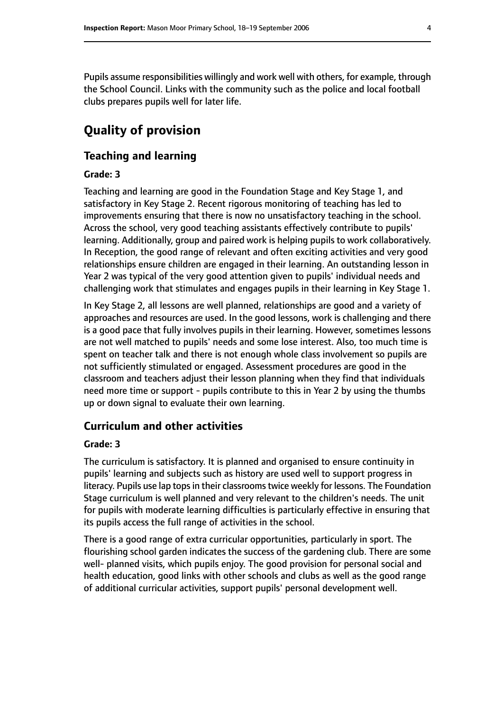Pupils assume responsibilities willingly and work well with others, for example, through the School Council. Links with the community such as the police and local football clubs prepares pupils well for later life.

# **Quality of provision**

#### **Teaching and learning**

#### **Grade: 3**

Teaching and learning are good in the Foundation Stage and Key Stage 1, and satisfactory in Key Stage 2. Recent rigorous monitoring of teaching has led to improvements ensuring that there is now no unsatisfactory teaching in the school. Across the school, very good teaching assistants effectively contribute to pupils' learning. Additionally, group and paired work is helping pupils to work collaboratively. In Reception, the good range of relevant and often exciting activities and very good relationships ensure children are engaged in their learning. An outstanding lesson in Year 2 was typical of the very good attention given to pupils' individual needs and challenging work that stimulates and engages pupils in their learning in Key Stage 1.

In Key Stage 2, all lessons are well planned, relationships are good and a variety of approaches and resources are used. In the good lessons, work is challenging and there is a good pace that fully involves pupils in their learning. However, sometimes lessons are not well matched to pupils' needs and some lose interest. Also, too much time is spent on teacher talk and there is not enough whole class involvement so pupils are not sufficiently stimulated or engaged. Assessment procedures are good in the classroom and teachers adjust their lesson planning when they find that individuals need more time or support - pupils contribute to this in Year 2 by using the thumbs up or down signal to evaluate their own learning.

#### **Curriculum and other activities**

#### **Grade: 3**

The curriculum is satisfactory. It is planned and organised to ensure continuity in pupils' learning and subjects such as history are used well to support progress in literacy. Pupils use lap tops in their classrooms twice weekly for lessons. The Foundation Stage curriculum is well planned and very relevant to the children's needs. The unit for pupils with moderate learning difficulties is particularly effective in ensuring that its pupils access the full range of activities in the school.

There is a good range of extra curricular opportunities, particularly in sport. The flourishing school garden indicates the success of the gardening club. There are some well- planned visits, which pupils enjoy. The good provision for personal social and health education, good links with other schools and clubs as well as the good range of additional curricular activities, support pupils' personal development well.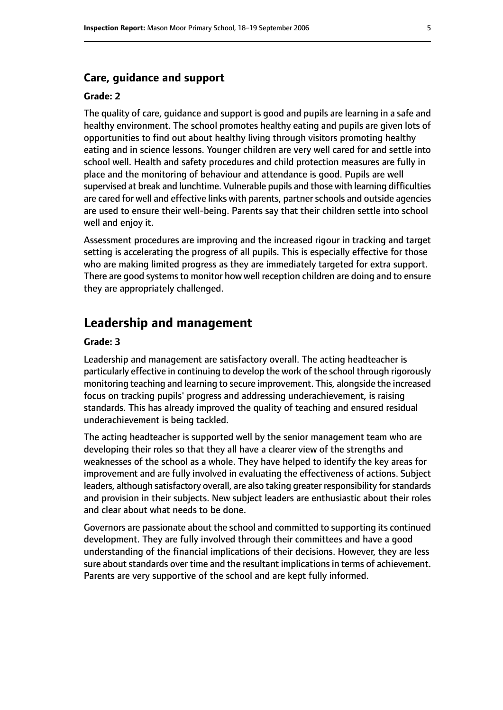#### **Care, guidance and support**

#### **Grade: 2**

The quality of care, guidance and support is good and pupils are learning in a safe and healthy environment. The school promotes healthy eating and pupils are given lots of opportunities to find out about healthy living through visitors promoting healthy eating and in science lessons. Younger children are very well cared for and settle into school well. Health and safety procedures and child protection measures are fully in place and the monitoring of behaviour and attendance is good. Pupils are well supervised at break and lunchtime. Vulnerable pupils and those with learning difficulties are cared for well and effective links with parents, partner schools and outside agencies are used to ensure their well-being. Parents say that their children settle into school well and enjoy it.

Assessment procedures are improving and the increased rigour in tracking and target setting is accelerating the progress of all pupils. This is especially effective for those who are making limited progress as they are immediately targeted for extra support. There are good systems to monitor how well reception children are doing and to ensure they are appropriately challenged.

#### **Leadership and management**

#### **Grade: 3**

Leadership and management are satisfactory overall. The acting headteacher is particularly effective in continuing to develop the work of the school through rigorously monitoring teaching and learning to secure improvement. This, alongside the increased focus on tracking pupils' progress and addressing underachievement, is raising standards. This has already improved the quality of teaching and ensured residual underachievement is being tackled.

The acting headteacher is supported well by the senior management team who are developing their roles so that they all have a clearer view of the strengths and weaknesses of the school as a whole. They have helped to identify the key areas for improvement and are fully involved in evaluating the effectiveness of actions. Subject leaders, although satisfactory overall, are also taking greater responsibility for standards and provision in their subjects. New subject leaders are enthusiastic about their roles and clear about what needs to be done.

Governors are passionate about the school and committed to supporting its continued development. They are fully involved through their committees and have a good understanding of the financial implications of their decisions. However, they are less sure about standards over time and the resultant implications in terms of achievement. Parents are very supportive of the school and are kept fully informed.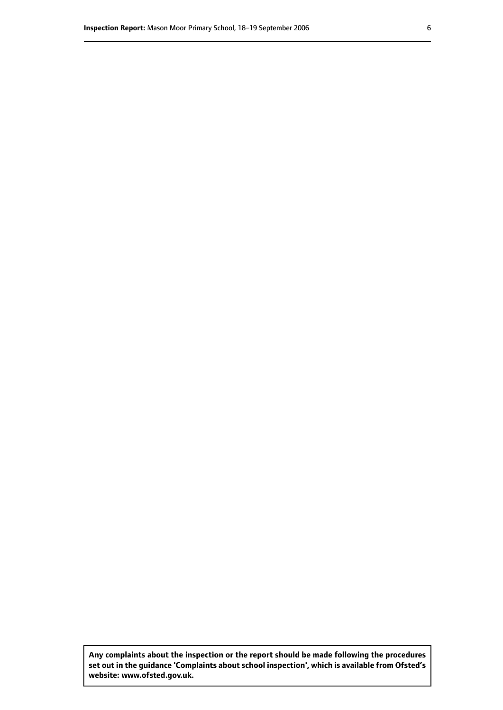**Any complaints about the inspection or the report should be made following the procedures set out inthe guidance 'Complaints about school inspection', whichis available from Ofsted's website: www.ofsted.gov.uk.**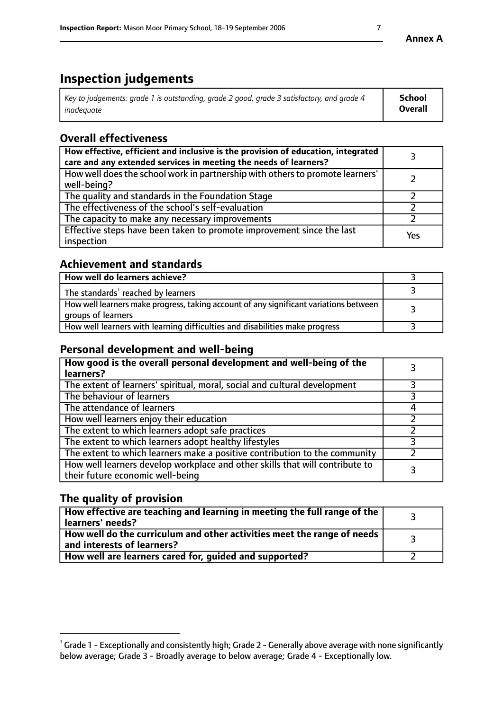# **Inspection judgements**

| Key to judgements: grade 1 is outstanding, grade 2 good, grade 3 satisfactory, and grade 4 | <b>School</b>  |
|--------------------------------------------------------------------------------------------|----------------|
| inadeauate                                                                                 | <b>Overall</b> |

# **Overall effectiveness**

| How effective, efficient and inclusive is the provision of education, integrated<br>care and any extended services in meeting the needs of learners? |     |
|------------------------------------------------------------------------------------------------------------------------------------------------------|-----|
| How well does the school work in partnership with others to promote learners'<br>well-being?                                                         |     |
| The quality and standards in the Foundation Stage                                                                                                    |     |
| The effectiveness of the school's self-evaluation                                                                                                    |     |
| The capacity to make any necessary improvements                                                                                                      |     |
| Effective steps have been taken to promote improvement since the last<br>inspection                                                                  | Yes |

## **Achievement and standards**

| How well do learners achieve?                                                                               |  |
|-------------------------------------------------------------------------------------------------------------|--|
| The standards <sup>1</sup> reached by learners                                                              |  |
| How well learners make progress, taking account of any significant variations between<br>groups of learners |  |
| How well learners with learning difficulties and disabilities make progress                                 |  |

# **Personal development and well-being**

| How good is the overall personal development and well-being of the<br>learners?                                  |  |
|------------------------------------------------------------------------------------------------------------------|--|
| The extent of learners' spiritual, moral, social and cultural development                                        |  |
| The behaviour of learners                                                                                        |  |
| The attendance of learners                                                                                       |  |
| How well learners enjoy their education                                                                          |  |
| The extent to which learners adopt safe practices                                                                |  |
| The extent to which learners adopt healthy lifestyles                                                            |  |
| The extent to which learners make a positive contribution to the community                                       |  |
| How well learners develop workplace and other skills that will contribute to<br>their future economic well-being |  |

# **The quality of provision**

| $\Box$ How effective are teaching and learning in meeting the full range of the $\Box$<br>  learners' needs?        |  |
|---------------------------------------------------------------------------------------------------------------------|--|
| $\mid$ How well do the curriculum and other activities meet the range of needs<br>$\mid$ and interests of learners? |  |
| How well are learners cared for, guided and supported?                                                              |  |

 $^1$  Grade 1 - Exceptionally and consistently high; Grade 2 - Generally above average with none significantly below average; Grade 3 - Broadly average to below average; Grade 4 - Exceptionally low.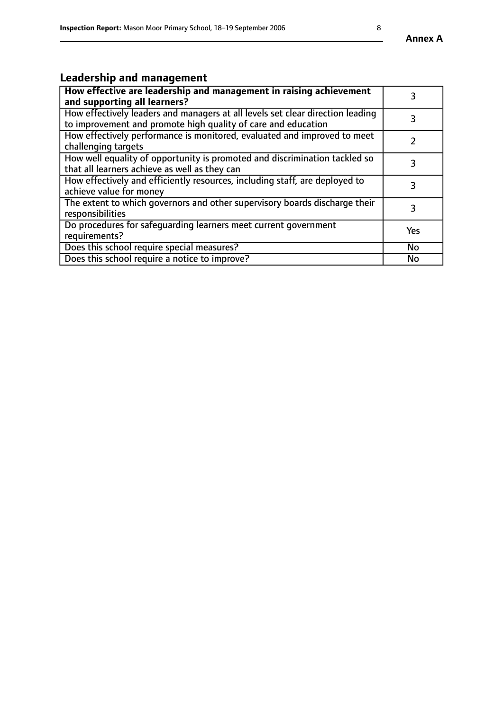# **Leadership and management**

| How effective are leadership and management in raising achievement<br>and supporting all learners?                                              |           |
|-------------------------------------------------------------------------------------------------------------------------------------------------|-----------|
| How effectively leaders and managers at all levels set clear direction leading<br>to improvement and promote high quality of care and education |           |
| How effectively performance is monitored, evaluated and improved to meet<br>challenging targets                                                 |           |
| How well equality of opportunity is promoted and discrimination tackled so<br>that all learners achieve as well as they can                     |           |
| How effectively and efficiently resources, including staff, are deployed to<br>achieve value for money                                          | З         |
| The extent to which governors and other supervisory boards discharge their<br>responsibilities                                                  | 3         |
| Do procedures for safequarding learners meet current government<br>requirements?                                                                | Yes       |
| Does this school require special measures?                                                                                                      | No        |
| Does this school require a notice to improve?                                                                                                   | <b>No</b> |